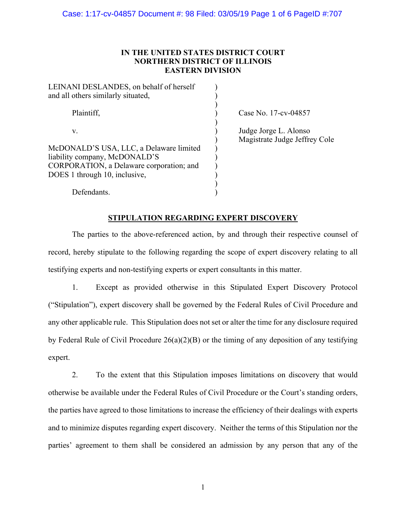# **IN THE UNITED STATES DISTRICT COURT NORTHERN DISTRICT OF ILLINOIS EASTERN DIVISION**

| LEINANI DESLANDES, on behalf of herself<br>and all others similarly situated,                                                                         |  |
|-------------------------------------------------------------------------------------------------------------------------------------------------------|--|
| Plaintiff,                                                                                                                                            |  |
| V.                                                                                                                                                    |  |
| McDONALD'S USA, LLC, a Delaware limited<br>liability company, McDONALD'S<br>CORPORATION, a Delaware corporation; and<br>DOES 1 through 10, inclusive, |  |
| Defendants.                                                                                                                                           |  |

Case No. 17-cv-04857

Judge Jorge L. Alonso ) Magistrate Judge Jeffrey Cole

# **STIPULATION REGARDING EXPERT DISCOVERY**

The parties to the above-referenced action, by and through their respective counsel of record, hereby stipulate to the following regarding the scope of expert discovery relating to all testifying experts and non-testifying experts or expert consultants in this matter.

1. Except as provided otherwise in this Stipulated Expert Discovery Protocol ("Stipulation"), expert discovery shall be governed by the Federal Rules of Civil Procedure and any other applicable rule. This Stipulation does not set or alter the time for any disclosure required by Federal Rule of Civil Procedure  $26(a)(2)(B)$  or the timing of any deposition of any testifying expert.

2. To the extent that this Stipulation imposes limitations on discovery that would otherwise be available under the Federal Rules of Civil Procedure or the Court's standing orders, the parties have agreed to those limitations to increase the efficiency of their dealings with experts and to minimize disputes regarding expert discovery. Neither the terms of this Stipulation nor the parties' agreement to them shall be considered an admission by any person that any of the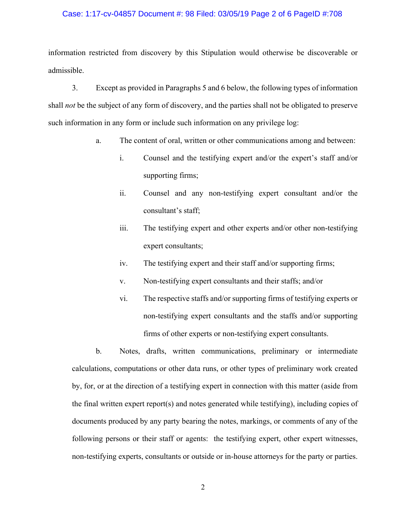## Case: 1:17-cv-04857 Document #: 98 Filed: 03/05/19 Page 2 of 6 PageID #:708

information restricted from discovery by this Stipulation would otherwise be discoverable or admissible.

3. Except as provided in Paragraphs 5 and 6 below, the following types of information shall *not* be the subject of any form of discovery, and the parties shall not be obligated to preserve such information in any form or include such information on any privilege log:

- a. The content of oral, written or other communications among and between:
	- i. Counsel and the testifying expert and/or the expert's staff and/or supporting firms;
	- ii. Counsel and any non-testifying expert consultant and/or the consultant's staff;
	- iii. The testifying expert and other experts and/or other non-testifying expert consultants;
	- iv. The testifying expert and their staff and/or supporting firms;
	- v. Non-testifying expert consultants and their staffs; and/or
	- vi. The respective staffs and/or supporting firms of testifying experts or non-testifying expert consultants and the staffs and/or supporting firms of other experts or non-testifying expert consultants.

b. Notes, drafts, written communications, preliminary or intermediate calculations, computations or other data runs, or other types of preliminary work created by, for, or at the direction of a testifying expert in connection with this matter (aside from the final written expert report(s) and notes generated while testifying), including copies of documents produced by any party bearing the notes, markings, or comments of any of the following persons or their staff or agents: the testifying expert, other expert witnesses, non-testifying experts, consultants or outside or in-house attorneys for the party or parties.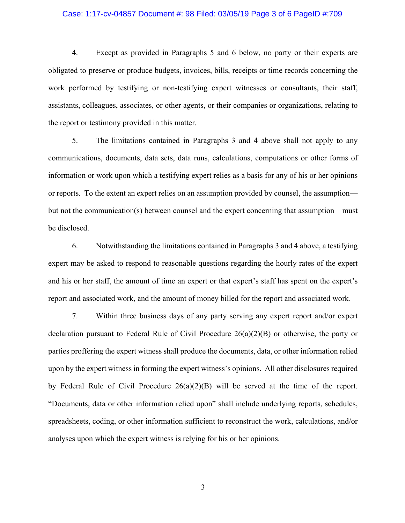## Case: 1:17-cv-04857 Document #: 98 Filed: 03/05/19 Page 3 of 6 PageID #:709

4. Except as provided in Paragraphs 5 and 6 below, no party or their experts are obligated to preserve or produce budgets, invoices, bills, receipts or time records concerning the work performed by testifying or non-testifying expert witnesses or consultants, their staff, assistants, colleagues, associates, or other agents, or their companies or organizations, relating to the report or testimony provided in this matter.

5. The limitations contained in Paragraphs 3 and 4 above shall not apply to any communications, documents, data sets, data runs, calculations, computations or other forms of information or work upon which a testifying expert relies as a basis for any of his or her opinions or reports. To the extent an expert relies on an assumption provided by counsel, the assumption but not the communication(s) between counsel and the expert concerning that assumption—must be disclosed.

6. Notwithstanding the limitations contained in Paragraphs 3 and 4 above, a testifying expert may be asked to respond to reasonable questions regarding the hourly rates of the expert and his or her staff, the amount of time an expert or that expert's staff has spent on the expert's report and associated work, and the amount of money billed for the report and associated work.

7. Within three business days of any party serving any expert report and/or expert declaration pursuant to Federal Rule of Civil Procedure 26(a)(2)(B) or otherwise, the party or parties proffering the expert witness shall produce the documents, data, or other information relied upon by the expert witness in forming the expert witness's opinions. All other disclosures required by Federal Rule of Civil Procedure 26(a)(2)(B) will be served at the time of the report. "Documents, data or other information relied upon" shall include underlying reports, schedules, spreadsheets, coding, or other information sufficient to reconstruct the work, calculations, and/or analyses upon which the expert witness is relying for his or her opinions.

3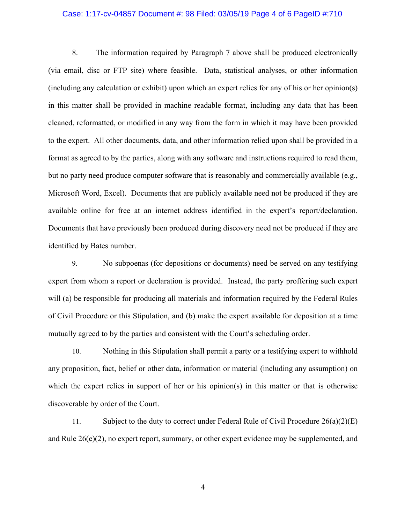## Case: 1:17-cv-04857 Document #: 98 Filed: 03/05/19 Page 4 of 6 PageID #:710

8. The information required by Paragraph 7 above shall be produced electronically (via email, disc or FTP site) where feasible. Data, statistical analyses, or other information (including any calculation or exhibit) upon which an expert relies for any of his or her opinion(s) in this matter shall be provided in machine readable format, including any data that has been cleaned, reformatted, or modified in any way from the form in which it may have been provided to the expert. All other documents, data, and other information relied upon shall be provided in a format as agreed to by the parties, along with any software and instructions required to read them, but no party need produce computer software that is reasonably and commercially available (e.g., Microsoft Word, Excel). Documents that are publicly available need not be produced if they are available online for free at an internet address identified in the expert's report/declaration. Documents that have previously been produced during discovery need not be produced if they are identified by Bates number.

9. No subpoenas (for depositions or documents) need be served on any testifying expert from whom a report or declaration is provided. Instead, the party proffering such expert will (a) be responsible for producing all materials and information required by the Federal Rules of Civil Procedure or this Stipulation, and (b) make the expert available for deposition at a time mutually agreed to by the parties and consistent with the Court's scheduling order.

10. Nothing in this Stipulation shall permit a party or a testifying expert to withhold any proposition, fact, belief or other data, information or material (including any assumption) on which the expert relies in support of her or his opinion(s) in this matter or that is otherwise discoverable by order of the Court.

11. Subject to the duty to correct under Federal Rule of Civil Procedure 26(a)(2)(E) and Rule  $26(e)(2)$ , no expert report, summary, or other expert evidence may be supplemented, and

4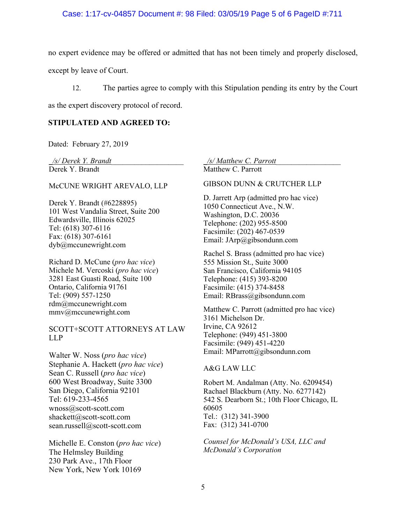## Case: 1:17-cv-04857 Document #: 98 Filed: 03/05/19 Page 5 of 6 PageID #:711

no expert evidence may be offered or admitted that has not been timely and properly disclosed,

except by leave of Court.

12. The parties agree to comply with this Stipulation pending its entry by the Court

as the expert discovery protocol of record.

## **STIPULATED AND AGREED TO:**

Dated: February 27, 2019

Derek Y. Brandt

#### McCUNE WRIGHT AREVALO, LLP

Derek Y. Brandt (#6228895) 101 West Vandalia Street, Suite 200 Edwardsville, Illinois 62025 Tel: (618) 307-6116 Fax: (618) 307-6161 dyb@mccunewright.com

Richard D. McCune (*pro hac vice*) Michele M. Vercoski (*pro hac vice*) 3281 East Guasti Road, Suite 100 Ontario, California 91761 Tel: (909) 557-1250 rdm@mccunewright.com mmv@mccunewright.com

SCOTT+SCOTT ATTORNEYS AT LAW LLP

Walter W. Noss (*pro hac vice*) Stephanie A. Hackett (*pro hac vice*) Sean C. Russell (*pro hac vice*) 600 West Broadway, Suite 3300 San Diego, California 92101 Tel: 619-233-4565 wnoss@scott-scott.com shackett@scott-scott.com sean.russell@scott-scott.com

Michelle E. Conston (*pro hac vice*) The Helmsley Building 230 Park Ave., 17th Floor New York, New York 10169

*\_/s/ Derek Y. Brandt*\_\_\_\_\_\_\_\_\_\_\_\_\_\_\_\_\_\_\_ *\_/s/ Matthew C. Parrott*\_\_\_\_\_\_\_\_\_\_\_\_\_\_\_\_\_ Matthew C. Parrott

GIBSON DUNN & CRUTCHER LLP

D. Jarrett Arp (admitted pro hac vice) 1050 Connecticut Ave., N.W. Washington, D.C. 20036 Telephone: (202) 955-8500 Facsimile: (202) 467-0539 Email: JArp@gibsondunn.com

Rachel S. Brass (admitted pro hac vice) 555 Mission St., Suite 3000 San Francisco, California 94105 Telephone: (415) 393-8200 Facsimile: (415) 374-8458 Email: RBrass@gibsondunn.com

Matthew C. Parrott (admitted pro hac vice) 3161 Michelson Dr. Irvine, CA 92612 Telephone: (949) 451-3800 Facsimile: (949) 451-4220 Email: MParrott@gibsondunn.com

## A&G LAW LLC

Robert M. Andalman (Atty. No. 6209454) Rachael Blackburn (Atty. No. 6277142) 542 S. Dearborn St.; 10th Floor Chicago, IL 60605 Tel.: (312) 341-3900 Fax: (312) 341-0700

*Counsel for McDonald's USA, LLC and McDonald's Corporation*